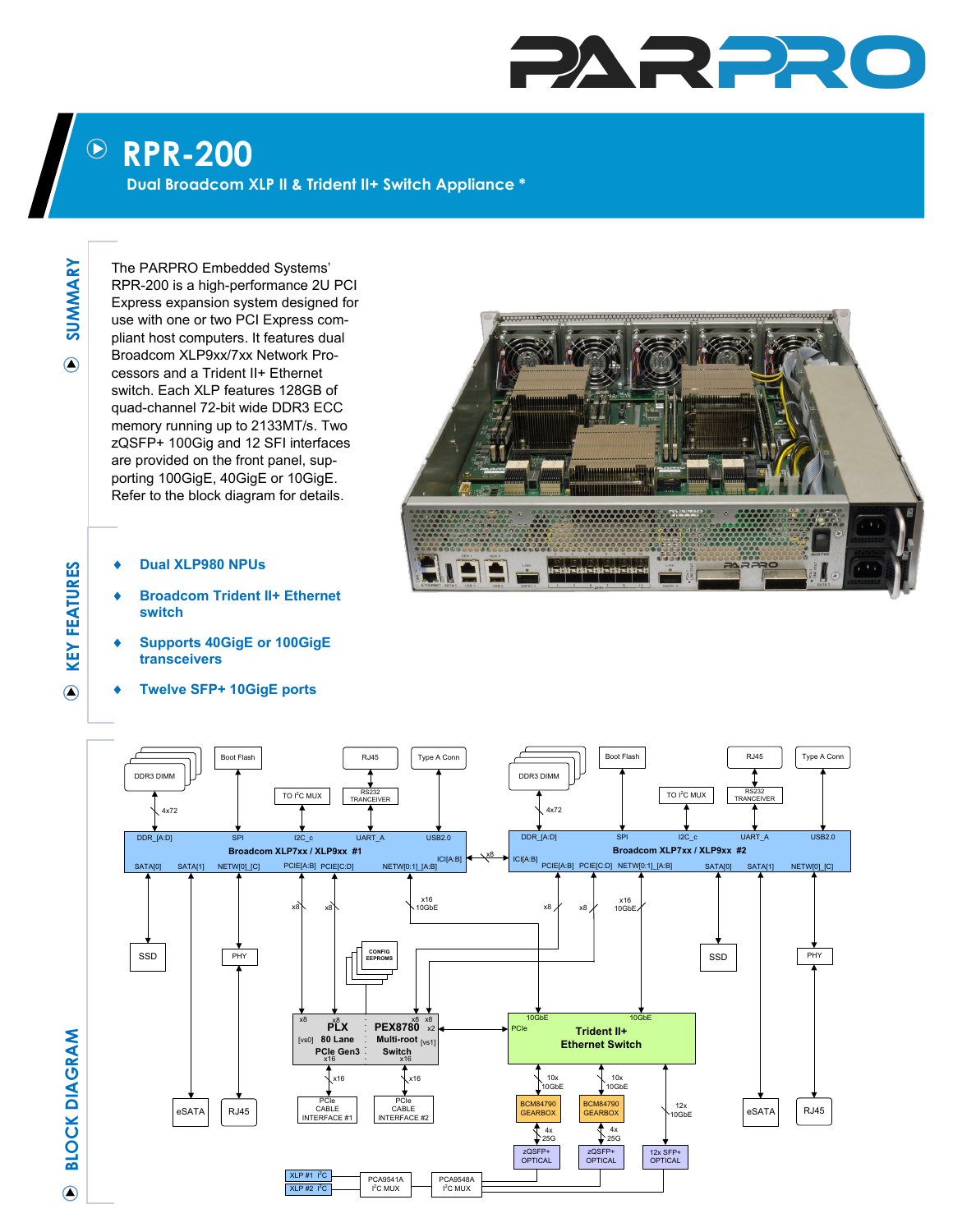## PARPR

## **RPR-200**  $\bigodot$

**Dual Broadcom XLP II & Trident II+ Switch Appliance \***

**SUMMARY**  $\bigcirc$ 

**KEY FEATURES**

**KEY FEATURES** 

 $\overline{O}$ 

The PARPRO Embedded Systems' RPR-200 is a high-performance 2U PCI Express expansion system designed for use with one or two PCI Express compliant host computers. It features dual Broadcom XLP9xx/7xx Network Processors and a Trident II+ Ethernet switch. Each XLP features 128GB of quad-channel 72-bit wide DDR3 ECC memory running up to 2133MT/s. Two zQSFP+ 100Gig and 12 SFI interfaces are provided on the front panel, supporting 100GigE, 40GigE or 10GigE. Refer to the block diagram for details.

- **Dual XLP980 NPUs**
- **Broadcom Trident II+ Ethernet switch**
- **Supports 40GigE or 100GigE transceivers**
- **Twelve SFP+ 10GigE ports**





**BLOCK DIAGRAM**  $\bigcirc$